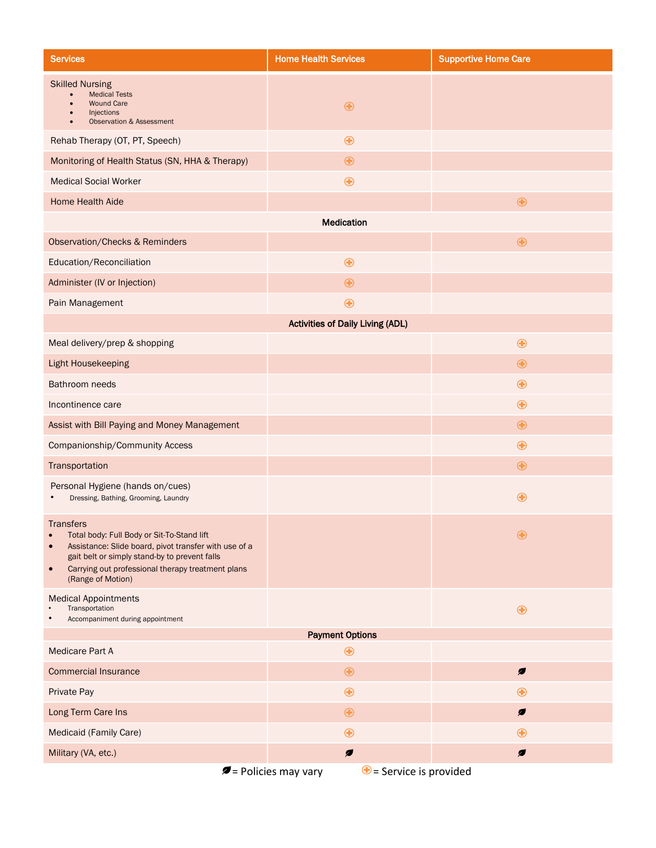| <b>Services</b>                                                                                                                                                                                                                                                                           | <b>Home Health Services</b> | <b>Supportive Home Care</b> |
|-------------------------------------------------------------------------------------------------------------------------------------------------------------------------------------------------------------------------------------------------------------------------------------------|-----------------------------|-----------------------------|
| <b>Skilled Nursing</b><br><b>Medical Tests</b><br><b>Wound Care</b><br>Injections<br><b>Observation &amp; Assessment</b>                                                                                                                                                                  | $\bigoplus$                 |                             |
| Rehab Therapy (OT, PT, Speech)                                                                                                                                                                                                                                                            | $\bigoplus$                 |                             |
| Monitoring of Health Status (SN, HHA & Therapy)                                                                                                                                                                                                                                           | $\bigoplus$                 |                             |
| <b>Medical Social Worker</b>                                                                                                                                                                                                                                                              | $\bigoplus$                 |                             |
| Home Health Aide                                                                                                                                                                                                                                                                          |                             | $\bigoplus$                 |
| Medication                                                                                                                                                                                                                                                                                |                             |                             |
| <b>Observation/Checks &amp; Reminders</b>                                                                                                                                                                                                                                                 |                             | $\bigoplus$                 |
| Education/Reconciliation                                                                                                                                                                                                                                                                  | $\bigoplus$                 |                             |
| Administer (IV or Injection)                                                                                                                                                                                                                                                              | $\bigoplus$                 |                             |
| Pain Management                                                                                                                                                                                                                                                                           | $\bf \bm \Theta$            |                             |
| <b>Activities of Daily Living (ADL)</b>                                                                                                                                                                                                                                                   |                             |                             |
| Meal delivery/prep & shopping                                                                                                                                                                                                                                                             |                             | $\bigoplus$                 |
| Light Housekeeping                                                                                                                                                                                                                                                                        |                             | $\bigoplus$                 |
| Bathroom needs                                                                                                                                                                                                                                                                            |                             | $\bigoplus$                 |
| Incontinence care                                                                                                                                                                                                                                                                         |                             | $\bigoplus$                 |
| Assist with Bill Paying and Money Management                                                                                                                                                                                                                                              |                             | $\bigoplus$                 |
| Companionship/Community Access                                                                                                                                                                                                                                                            |                             | $\bigoplus$                 |
| Transportation                                                                                                                                                                                                                                                                            |                             | $\bigoplus$                 |
| Personal Hygiene (hands on/cues)<br>Dressing, Bathing, Grooming, Laundry                                                                                                                                                                                                                  |                             | $\bf \bm \Theta$            |
| <b>Transfers</b><br>Total body: Full Body or Sit-To-Stand lift<br>$\bullet$<br>Assistance: Slide board, pivot transfer with use of a<br>$\bullet$<br>gait belt or simply stand-by to prevent falls<br>Carrying out professional therapy treatment plans<br>$\bullet$<br>(Range of Motion) |                             | $\bf \bm \Theta$            |
| <b>Medical Appointments</b><br>Transportation<br>Accompaniment during appointment                                                                                                                                                                                                         |                             | $\bigoplus$                 |
| <b>Payment Options</b>                                                                                                                                                                                                                                                                    |                             |                             |
| <b>Medicare Part A</b>                                                                                                                                                                                                                                                                    | ⊕                           |                             |
| <b>Commercial Insurance</b>                                                                                                                                                                                                                                                               | $\bigoplus$                 | $\boldsymbol{z}$            |
| Private Pay                                                                                                                                                                                                                                                                               | $\bf \bm \Theta$            | ⊕                           |
| Long Term Care Ins                                                                                                                                                                                                                                                                        | $\bigoplus$                 | Ø                           |
| Medicaid (Family Care)                                                                                                                                                                                                                                                                    | $\bf \bm \Theta$            | $\bf \bm \Theta$            |
| Military (VA, etc.)                                                                                                                                                                                                                                                                       | $\boldsymbol{z}$            | Ø                           |
| $\blacktriangleright$ = Policies may vary<br>$\bigcirc$ = Service is provided                                                                                                                                                                                                             |                             |                             |